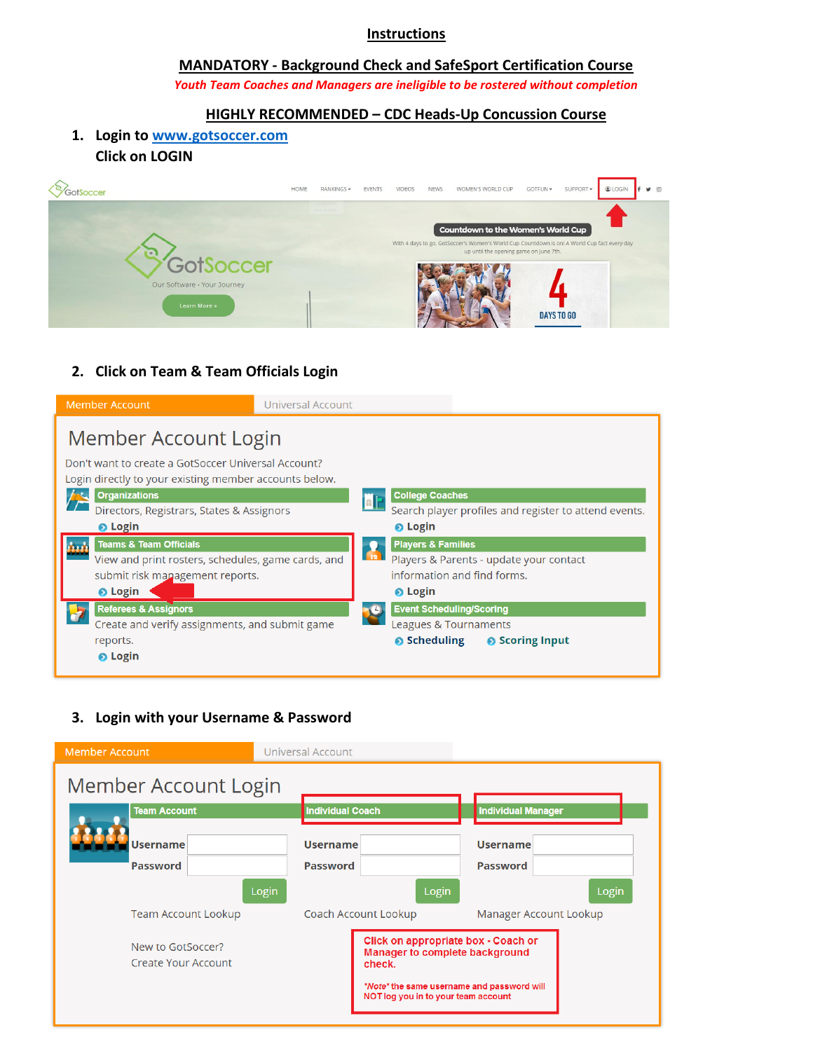#### **Instructions**

#### **MANDATORY - Background Check and SafeSport Certification Course**  *Youth Team Coaches and Managers are ineligible to be rostered without completion*

### **HIGHLY RECOMMENDED – CDC Heads-Up Concussion Course**

# **1. Login t[o www.gotsoccer.com](http://www.gotsoccer.com/) Click on LOGIN**



### **2. Click on Team & Team Officials Login**

| <b>Member Account</b>                                                                                                                                                                                                                                                                                                                                                                                                                                                                           | <b>Universal Account</b> |                                                                                                                                                                                                                                                                                                                                                              |  |
|-------------------------------------------------------------------------------------------------------------------------------------------------------------------------------------------------------------------------------------------------------------------------------------------------------------------------------------------------------------------------------------------------------------------------------------------------------------------------------------------------|--------------------------|--------------------------------------------------------------------------------------------------------------------------------------------------------------------------------------------------------------------------------------------------------------------------------------------------------------------------------------------------------------|--|
| Member Account Login<br>Don't want to create a GotSoccer Universal Account?<br>Login directly to your existing member accounts below.<br><b>Organizations</b><br>Directors, Registrars, States & Assignors<br><b>O</b> Login<br><b>Teams &amp; Team Officials</b><br>View and print rosters, schedules, game cards, and<br>submit risk management reports.<br><b>O</b> Login<br><b>Referees &amp; Assignors</b><br>Create and verify assignments, and submit game<br>reports.<br><b>O</b> Login |                          | <b>College Coaches</b><br>lali<br>Search player profiles and register to attend events.<br><b>O</b> Login<br><b>Players &amp; Families</b><br>$\sqrt{12}$<br>Players & Parents - update your contact<br>information and find forms.<br><b>O</b> Login<br><b>Event Scheduling/Scoring</b><br>Leagues & Tournaments<br>$\bullet$ Scheduling<br>● Scoring Input |  |
|                                                                                                                                                                                                                                                                                                                                                                                                                                                                                                 |                          |                                                                                                                                                                                                                                                                                                                                                              |  |

# **3. Login with your Username & Password**

| <b>Individual Coach</b>                                                           |                                                                                        | <b>Individual Manager</b> |                        |
|-----------------------------------------------------------------------------------|----------------------------------------------------------------------------------------|---------------------------|------------------------|
| <b>Username</b>                                                                   |                                                                                        | <b>Username</b>           |                        |
| <b>Password</b>                                                                   |                                                                                        | <b>Password</b>           |                        |
|                                                                                   | Login                                                                                  |                           | Login                  |
|                                                                                   |                                                                                        |                           |                        |
|                                                                                   | Click on appropriate box - Coach or<br><b>Manager to complete background</b><br>check. |                           |                        |
| *Note* the same username and password will<br>NOT log you in to your team account |                                                                                        |                           |                        |
|                                                                                   |                                                                                        | Coach Account Lookup      | Manager Account Lookup |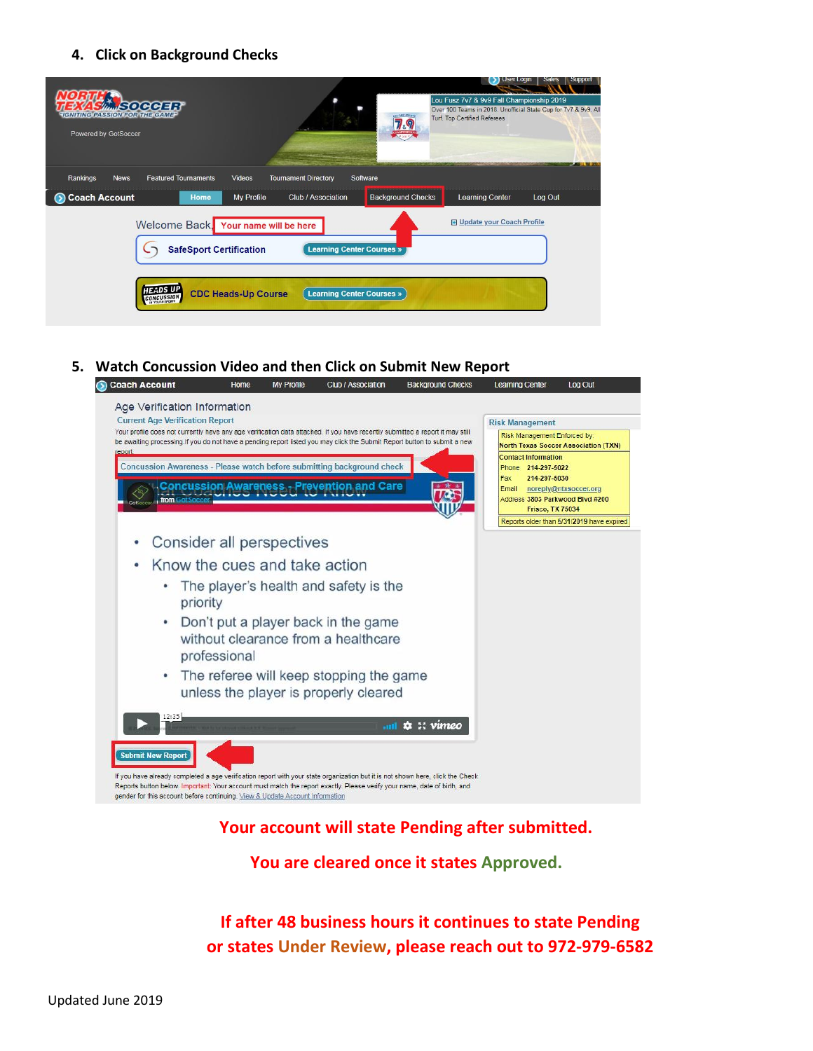#### **4. Click on Background Checks**



#### **5. Watch Concussion Video and then Click on Submit New Report**



# **Your account will state Pending after submitted.**

**You are cleared once it states Approved.**

**If after 48 business hours it continues to state Pending or states Under Review, please reach out to 972-979-6582**